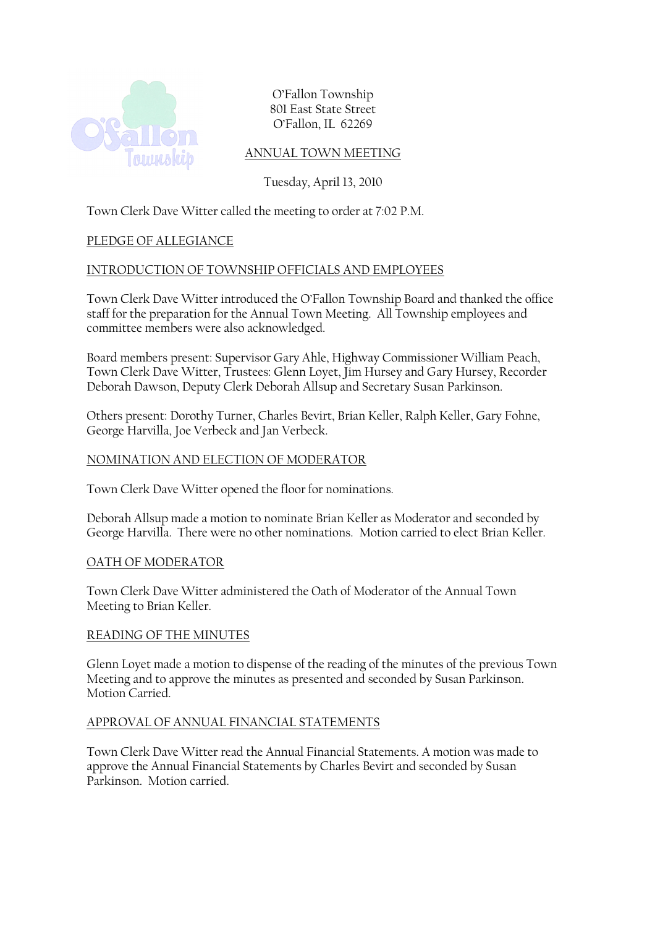

O'Fallon Township 801 East State Street O'Fallon, IL 62269

# ANNUAL TOWN MEETING

Tuesday, April 13, 2010

Town Clerk Dave Witter called the meeting to order at 7:02 P.M.

# PLEDGE OF ALLEGIANCE

### INTRODUCTION OF TOWNSHIP OFFICIALS AND EMPLOYEES

Town Clerk Dave Witter introduced the O'Fallon Township Board and thanked the office staff for the preparation for the Annual Town Meeting. All Township employees and committee members were also acknowledged.

Board members present: Supervisor Gary Ahle, Highway Commissioner William Peach, Town Clerk Dave Witter, Trustees: Glenn Loyet, Jim Hursey and Gary Hursey, Recorder Deborah Dawson, Deputy Clerk Deborah Allsup and Secretary Susan Parkinson.

Others present: Dorothy Turner, Charles Bevirt, Brian Keller, Ralph Keller, Gary Fohne, George Harvilla, Joe Verbeck and Jan Verbeck.

#### NOMINATION AND ELECTION OF MODERATOR

Town Clerk Dave Witter opened the floor for nominations.

Deborah Allsup made a motion to nominate Brian Keller as Moderator and seconded by George Harvilla. There were no other nominations. Motion carried to elect Brian Keller.

#### OATH OF MODERATOR

Town Clerk Dave Witter administered the Oath of Moderator of the Annual Town Meeting to Brian Keller.

### READING OF THE MINUTES

Glenn Loyet made a motion to dispense of the reading of the minutes of the previous Town Meeting and to approve the minutes as presented and seconded by Susan Parkinson. Motion Carried.

### APPROVAL OF ANNUAL FINANCIAL STATEMENTS

Town Clerk Dave Witter read the Annual Financial Statements. A motion was made to approve the Annual Financial Statements by Charles Bevirt and seconded by Susan Parkinson. Motion carried.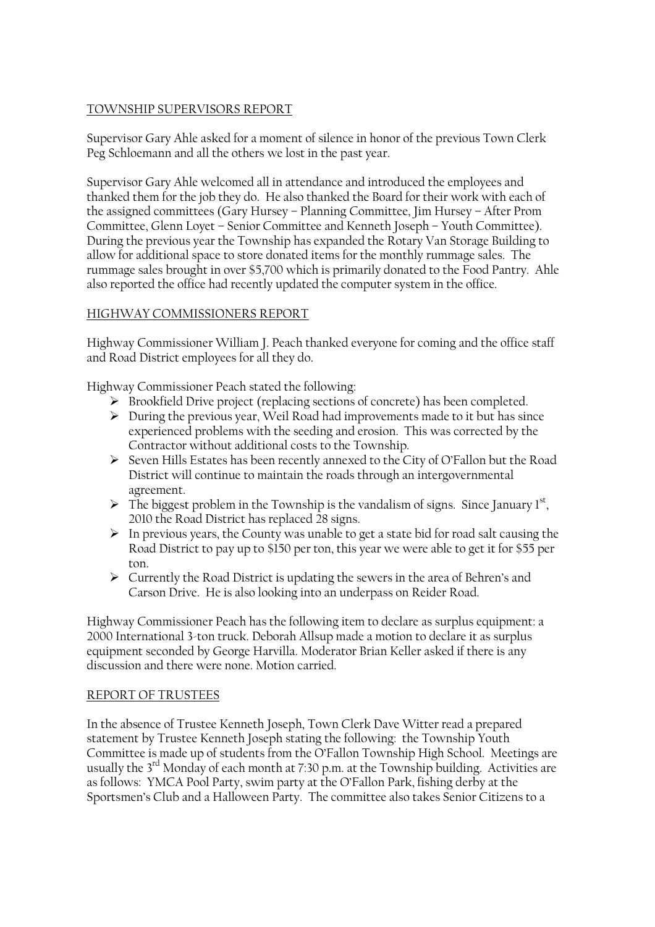# TOWNSHIP SUPERVISORS REPORT

Supervisor Gary Ahle asked for a moment of silence in honor of the previous Town Clerk Peg Schloemann and all the others we lost in the past year.

Supervisor Gary Ahle welcomed all in attendance and introduced the employees and thanked them for the job they do. He also thanked the Board for their work with each of the assigned committees (Gary Hursey – Planning Committee, Jim Hursey – After Prom Committee, Glenn Loyet – Senior Committee and Kenneth Joseph – Youth Committee). During the previous year the Township has expanded the Rotary Van Storage Building to allow for additional space to store donated items for the monthly rummage sales. The rummage sales brought in over \$5,700 which is primarily donated to the Food Pantry. Ahle also reported the office had recently updated the computer system in the office.

# HIGHWAY COMMISSIONERS REPORT

Highway Commissioner William J. Peach thanked everyone for coming and the office staff and Road District employees for all they do.

Highway Commissioner Peach stated the following:

- Brookfield Drive project (replacing sections of concrete) has been completed.
- $\triangleright$  During the previous year, Weil Road had improvements made to it but has since experienced problems with the seeding and erosion. This was corrected by the Contractor without additional costs to the Township.
- Seven Hills Estates has been recently annexed to the City of O'Fallon but the Road District will continue to maintain the roads through an intergovernmental agreement.
- $\triangleright$  The biggest problem in the Township is the vandalism of signs. Since January 1st, 2010 the Road District has replaced 28 signs.
- $\triangleright$  In previous years, the County was unable to get a state bid for road salt causing the Road District to pay up to \$150 per ton, this year we were able to get it for \$55 per ton.
- $\triangleright$  Currently the Road District is updating the sewers in the area of Behren's and Carson Drive. He is also looking into an underpass on Reider Road.

Highway Commissioner Peach has the following item to declare as surplus equipment: a 2000 International 3-ton truck. Deborah Allsup made a motion to declare it as surplus equipment seconded by George Harvilla. Moderator Brian Keller asked if there is any discussion and there were none. Motion carried.

### REPORT OF TRUSTEES

In the absence of Trustee Kenneth Joseph, Town Clerk Dave Witter read a prepared statement by Trustee Kenneth Joseph stating the following: the Township Youth Committee is made up of students from the O'Fallon Township High School. Meetings are usually the  $3<sup>rd</sup>$  Monday of each month at 7:30 p.m. at the Township building. Activities are as follows: YMCA Pool Party, swim party at the O'Fallon Park, fishing derby at the Sportsmen's Club and a Halloween Party. The committee also takes Senior Citizens to a